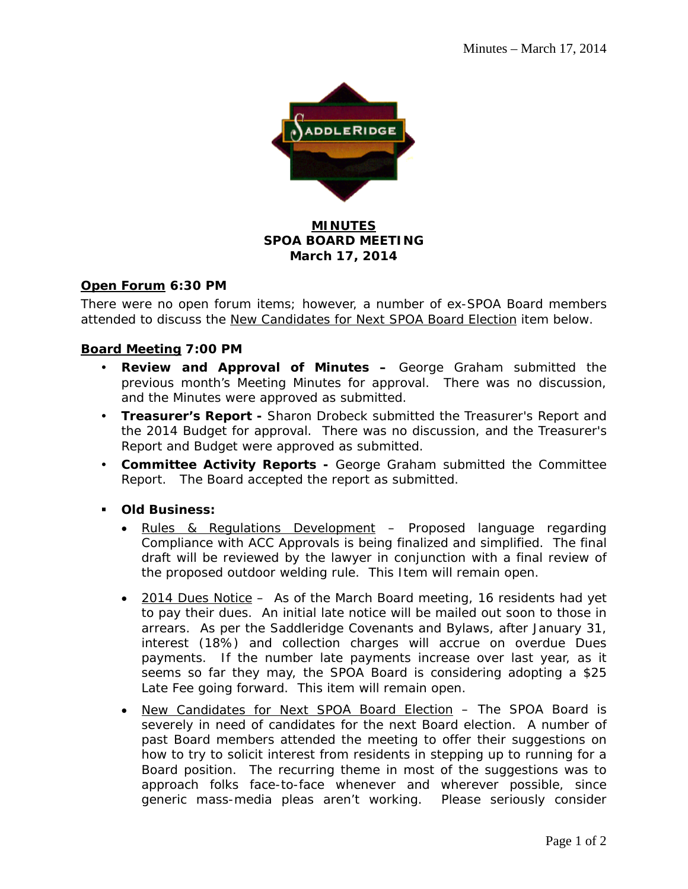

## **MINUTES SPOA BOARD MEETING March 17, 2014**

### **Open Forum 6:30 PM**

There were no open forum items; however, a number of ex-SPOA Board members attended to discuss the New Candidates for Next SPOA Board Election item below.

### **Board Meeting 7:00 PM**

- **Review and Approval of Minutes –** George Graham submitted the previous month's Meeting Minutes for approval. There was no discussion, and the Minutes were approved as submitted.
- **Treasurer's Report** Sharon Drobeck submitted the Treasurer's Report and the 2014 Budget for approval. There was no discussion, and the Treasurer's Report and Budget were approved as submitted.
- **Committee Activity Reports** George Graham submitted the Committee Report. The Board accepted the report as submitted.
- **Old Business:** 
	- Rules & Regulations Development Proposed language regarding Compliance with ACC Approvals is being finalized and simplified. The final draft will be reviewed by the lawyer in conjunction with a final review of the proposed outdoor welding rule. This Item will remain open.
	- 2014 Dues Notice As of the March Board meeting, 16 residents had yet to pay their dues. An initial late notice will be mailed out soon to those in arrears. As per the Saddleridge Covenants and Bylaws, after January 31, interest (18%) and collection charges will accrue on overdue Dues payments. If the number late payments increase over last year, as it seems so far they may, the SPOA Board is considering adopting a \$25 Late Fee going forward. This item will remain open.
	- New Candidates for Next SPOA Board Election The SPOA Board is severely in need of candidates for the next Board election. A number of past Board members attended the meeting to offer their suggestions on how to try to solicit interest from residents in stepping up to running for a Board position. The recurring theme in most of the suggestions was to approach folks face-to-face whenever and wherever possible, since generic mass-media pleas aren't working. Please seriously consider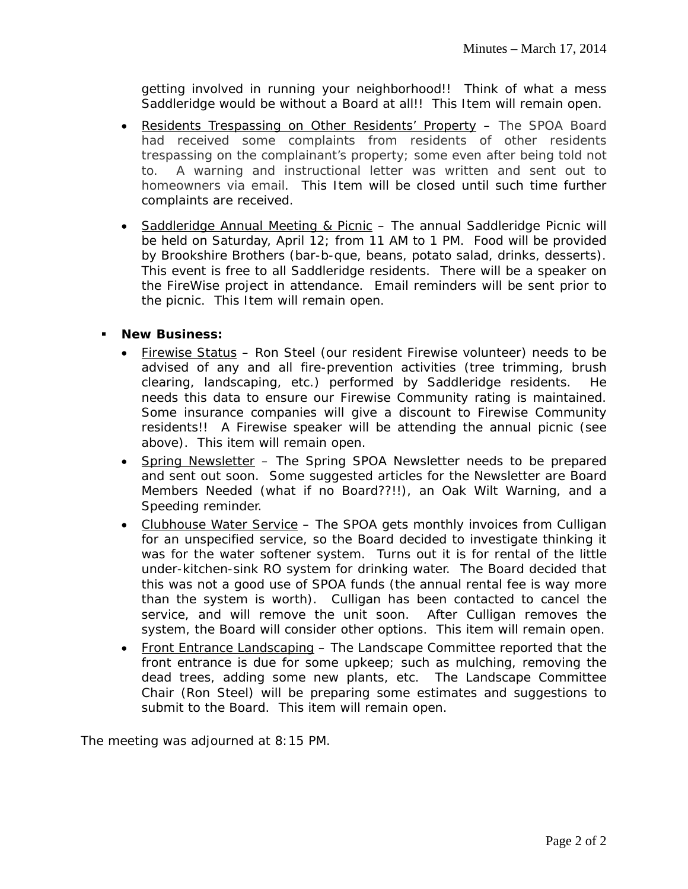getting involved in running your neighborhood!! Think of what a mess Saddleridge would be without a Board at all!! This Item will remain open.

- Residents Trespassing on Other Residents' Property The SPOA Board had received some complaints from residents of other residents trespassing on the complainant's property; some even after being told not to. A warning and instructional letter was written and sent out to homeowners via email. This Item will be closed until such time further complaints are received.
- Saddleridge Annual Meeting & Picnic The annual Saddleridge Picnic will be held on Saturday, April 12; from 11 AM to 1 PM. Food will be provided by Brookshire Brothers (bar-b-que, beans, potato salad, drinks, desserts). This event is free to all Saddleridge residents. There will be a speaker on the FireWise project in attendance. Email reminders will be sent prior to the picnic. This Item will remain open.

### **New Business:**

- Firewise Status Ron Steel (our resident Firewise volunteer) needs to be advised of any and all fire-prevention activities (tree trimming, brush clearing, landscaping, etc.) performed by Saddleridge residents. He needs this data to ensure our Firewise Community rating is maintained. Some insurance companies will give a discount to Firewise Community residents!! A Firewise speaker will be attending the annual picnic (see above). This item will remain open.
- Spring Newsletter The Spring SPOA Newsletter needs to be prepared and sent out soon. Some suggested articles for the Newsletter are Board Members Needed (what if no Board??!!), an Oak Wilt Warning, and a Speeding reminder.
- Clubhouse Water Service The SPOA gets monthly invoices from Culligan for an unspecified service, so the Board decided to investigate thinking it was for the water softener system. Turns out it is for rental of the little under-kitchen-sink RO system for drinking water. The Board decided that this was not a good use of SPOA funds (the annual rental fee is way more than the system is worth). Culligan has been contacted to cancel the service, and will remove the unit soon. After Culligan removes the system, the Board will consider other options. This item will remain open.
- Front Entrance Landscaping The Landscape Committee reported that the front entrance is due for some upkeep; such as mulching, removing the dead trees, adding some new plants, etc. The Landscape Committee Chair (Ron Steel) will be preparing some estimates and suggestions to submit to the Board. This item will remain open.

The meeting was adjourned at 8:15 PM.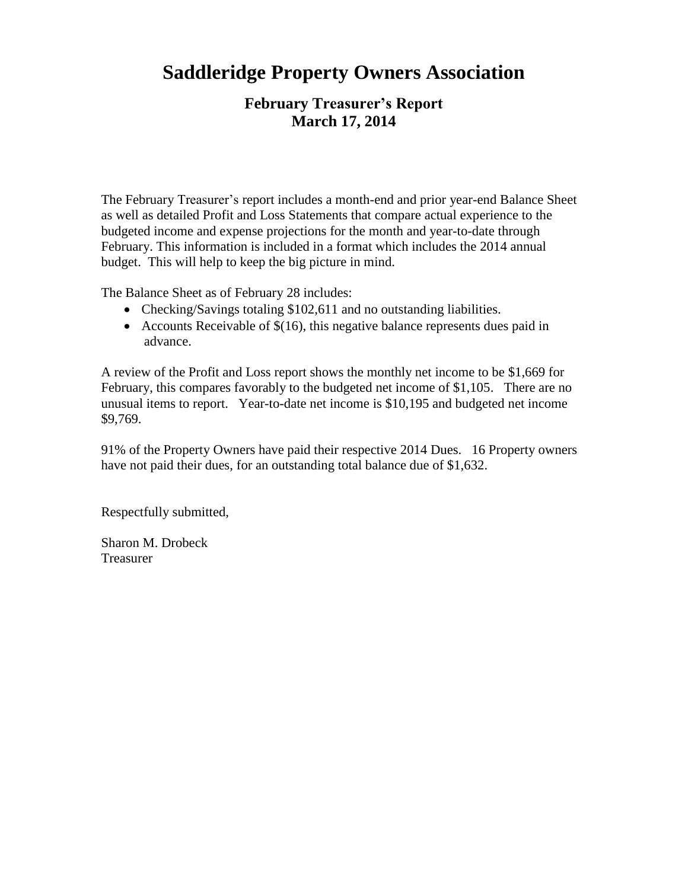# **Saddleridge Property Owners Association**

# **February Treasurer's Report March 17, 2014**

The February Treasurer's report includes a month-end and prior year-end Balance Sheet as well as detailed Profit and Loss Statements that compare actual experience to the budgeted income and expense projections for the month and year-to-date through February. This information is included in a format which includes the 2014 annual budget. This will help to keep the big picture in mind.

The Balance Sheet as of February 28 includes:

- Checking/Savings totaling \$102,611 and no outstanding liabilities.
- Accounts Receivable of  $$(16)$ , this negative balance represents dues paid in advance.

A review of the Profit and Loss report shows the monthly net income to be \$1,669 for February, this compares favorably to the budgeted net income of \$1,105. There are no unusual items to report. Year-to-date net income is \$10,195 and budgeted net income \$9,769.

91% of the Property Owners have paid their respective 2014 Dues. 16 Property owners have not paid their dues, for an outstanding total balance due of \$1,632.

Respectfully submitted,

Sharon M. Drobeck **Treasurer**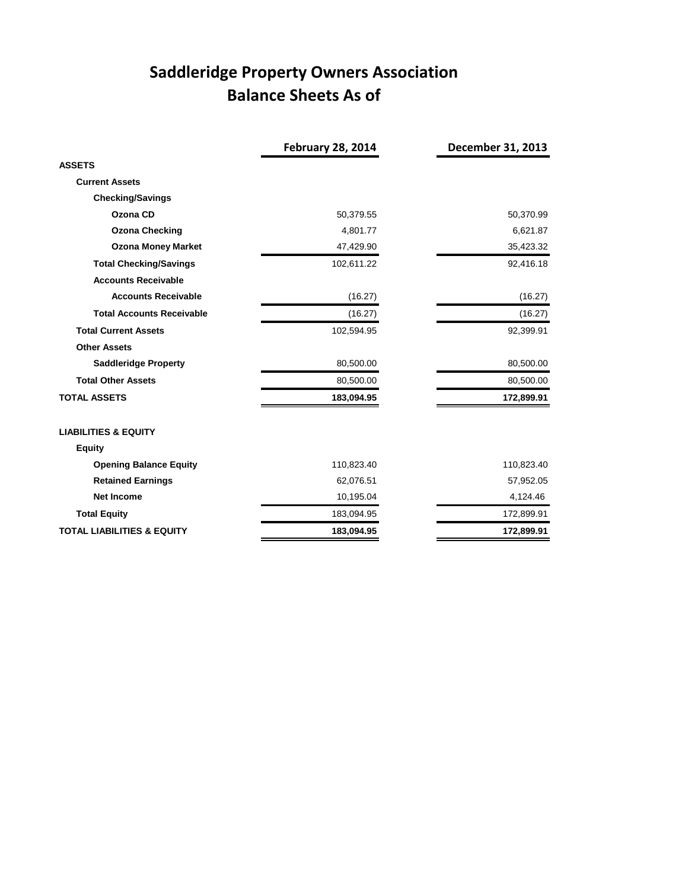# **Saddleridge Property Owners Association Balance Sheets As of**

|                                       | <b>February 28, 2014</b> | December 31, 2013 |
|---------------------------------------|--------------------------|-------------------|
| <b>ASSETS</b>                         |                          |                   |
| <b>Current Assets</b>                 |                          |                   |
| <b>Checking/Savings</b>               |                          |                   |
| Ozona CD                              | 50,379.55                | 50,370.99         |
| <b>Ozona Checking</b>                 | 4,801.77                 | 6,621.87          |
| <b>Ozona Money Market</b>             | 47,429.90                | 35,423.32         |
| <b>Total Checking/Savings</b>         | 102,611.22               | 92,416.18         |
| <b>Accounts Receivable</b>            |                          |                   |
| <b>Accounts Receivable</b>            | (16.27)                  | (16.27)           |
| <b>Total Accounts Receivable</b>      | (16.27)                  | (16.27)           |
| <b>Total Current Assets</b>           | 102,594.95               | 92,399.91         |
| <b>Other Assets</b>                   |                          |                   |
| <b>Saddleridge Property</b>           | 80,500.00                | 80,500.00         |
| <b>Total Other Assets</b>             | 80,500.00                | 80,500.00         |
| <b>TOTAL ASSETS</b>                   | 183,094.95               | 172,899.91        |
| <b>LIABILITIES &amp; EQUITY</b>       |                          |                   |
| <b>Equity</b>                         |                          |                   |
| <b>Opening Balance Equity</b>         | 110,823.40               | 110,823.40        |
| <b>Retained Earnings</b>              | 62,076.51                | 57,952.05         |
| <b>Net Income</b>                     | 10,195.04                | 4,124.46          |
| <b>Total Equity</b>                   | 183,094.95               | 172,899.91        |
| <b>TOTAL LIABILITIES &amp; EQUITY</b> | 183,094.95               | 172,899.91        |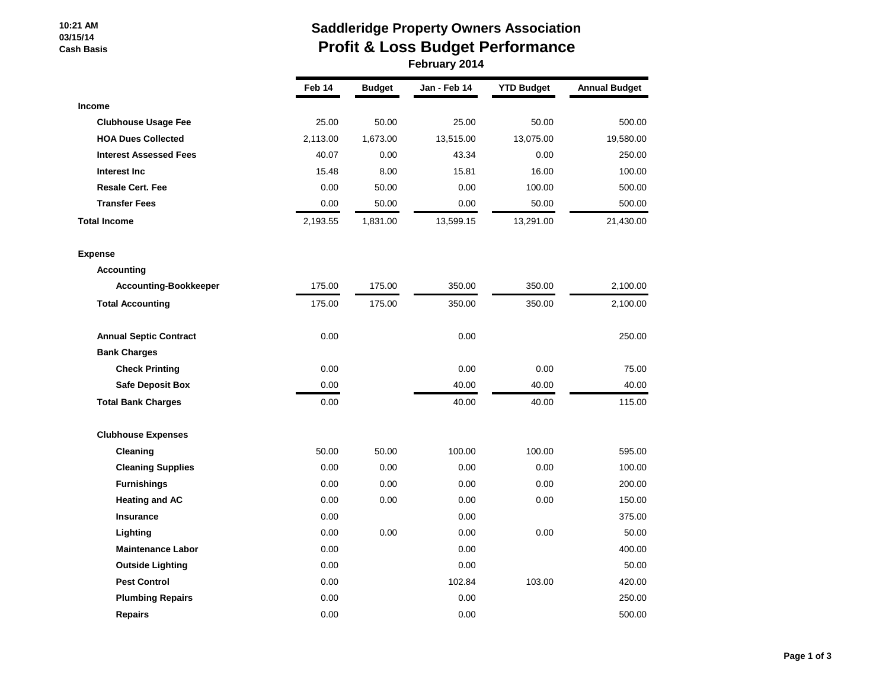#### **10:21 AM 03/15/14 Cash Basis**

# **Saddleridge Property Owners Association Profit & Loss Budget Performance February 2014**

|                               | Feb 14   | <b>Budget</b> | Jan - Feb 14 | <b>YTD Budget</b> | <b>Annual Budget</b> |
|-------------------------------|----------|---------------|--------------|-------------------|----------------------|
| <b>Income</b>                 |          |               |              |                   |                      |
| <b>Clubhouse Usage Fee</b>    | 25.00    | 50.00         | 25.00        | 50.00             | 500.00               |
| <b>HOA Dues Collected</b>     | 2,113.00 | 1,673.00      | 13,515.00    | 13,075.00         | 19,580.00            |
| <b>Interest Assessed Fees</b> | 40.07    | 0.00          | 43.34        | 0.00              | 250.00               |
| Interest Inc                  | 15.48    | 8.00          | 15.81        | 16.00             | 100.00               |
| <b>Resale Cert. Fee</b>       | 0.00     | 50.00         | 0.00         | 100.00            | 500.00               |
| <b>Transfer Fees</b>          | 0.00     | 50.00         | 0.00         | 50.00             | 500.00               |
| <b>Total Income</b>           | 2,193.55 | 1,831.00      | 13,599.15    | 13,291.00         | 21,430.00            |
| <b>Expense</b>                |          |               |              |                   |                      |
| <b>Accounting</b>             |          |               |              |                   |                      |
| <b>Accounting-Bookkeeper</b>  | 175.00   | 175.00        | 350.00       | 350.00            | 2,100.00             |
| <b>Total Accounting</b>       | 175.00   | 175.00        | 350.00       | 350.00            | 2,100.00             |
| <b>Annual Septic Contract</b> | 0.00     |               | 0.00         |                   | 250.00               |
| <b>Bank Charges</b>           |          |               |              |                   |                      |
| <b>Check Printing</b>         | 0.00     |               | 0.00         | 0.00              | 75.00                |
| <b>Safe Deposit Box</b>       | 0.00     |               | 40.00        | 40.00             | 40.00                |
| <b>Total Bank Charges</b>     | 0.00     |               | 40.00        | 40.00             | 115.00               |
| <b>Clubhouse Expenses</b>     |          |               |              |                   |                      |
| Cleaning                      | 50.00    | 50.00         | 100.00       | 100.00            | 595.00               |
| <b>Cleaning Supplies</b>      | 0.00     | 0.00          | 0.00         | 0.00              | 100.00               |
| <b>Furnishings</b>            | 0.00     | 0.00          | 0.00         | 0.00              | 200.00               |
| <b>Heating and AC</b>         | 0.00     | 0.00          | 0.00         | 0.00              | 150.00               |
| <b>Insurance</b>              | 0.00     |               | 0.00         |                   | 375.00               |
| Lighting                      | 0.00     | 0.00          | 0.00         | 0.00              | 50.00                |
| <b>Maintenance Labor</b>      | 0.00     |               | 0.00         |                   | 400.00               |
| <b>Outside Lighting</b>       | 0.00     |               | 0.00         |                   | 50.00                |
| <b>Pest Control</b>           | 0.00     |               | 102.84       | 103.00            | 420.00               |
| <b>Plumbing Repairs</b>       | 0.00     |               | 0.00         |                   | 250.00               |
| <b>Repairs</b>                | 0.00     |               | 0.00         |                   | 500.00               |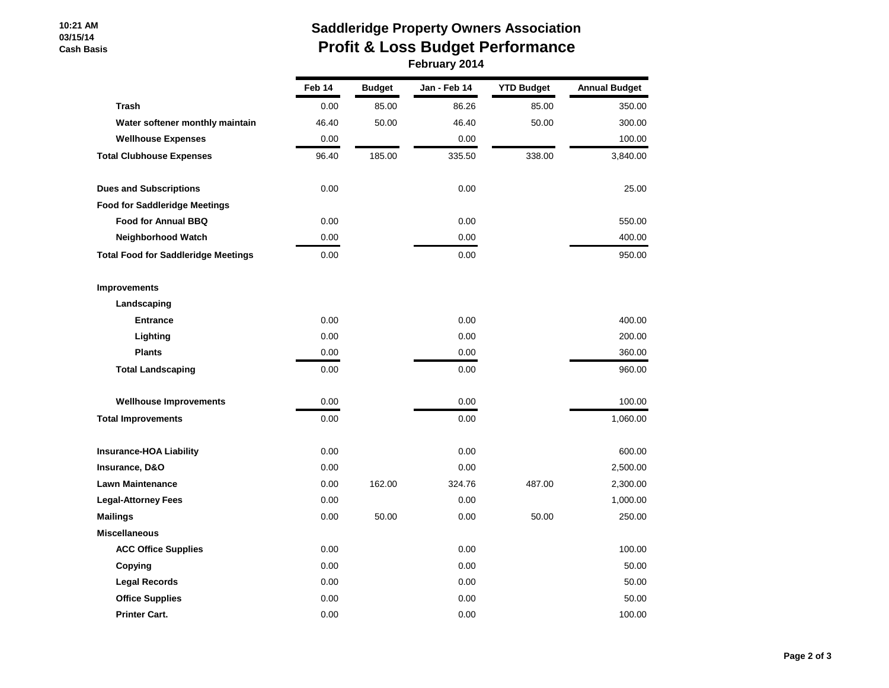#### **10:21 AM 03/15/14 Cash Basis**

# **Saddleridge Property Owners Association Profit & Loss Budget Performance February 2014**

|                                            | Feb 14 | <b>Budget</b> | Jan - Feb 14 | <b>YTD Budget</b> | <b>Annual Budget</b> |
|--------------------------------------------|--------|---------------|--------------|-------------------|----------------------|
| <b>Trash</b>                               | 0.00   | 85.00         | 86.26        | 85.00             | 350.00               |
| Water softener monthly maintain            | 46.40  | 50.00         | 46.40        | 50.00             | 300.00               |
| <b>Wellhouse Expenses</b>                  | 0.00   |               | 0.00         |                   | 100.00               |
| <b>Total Clubhouse Expenses</b>            | 96.40  | 185.00        | 335.50       | 338.00            | 3,840.00             |
| <b>Dues and Subscriptions</b>              | 0.00   |               | 0.00         |                   | 25.00                |
| <b>Food for Saddleridge Meetings</b>       |        |               |              |                   |                      |
| <b>Food for Annual BBQ</b>                 | 0.00   |               | 0.00         |                   | 550.00               |
| <b>Neighborhood Watch</b>                  | 0.00   |               | 0.00         |                   | 400.00               |
| <b>Total Food for Saddleridge Meetings</b> | 0.00   |               | 0.00         |                   | 950.00               |
| <b>Improvements</b>                        |        |               |              |                   |                      |
| Landscaping                                |        |               |              |                   |                      |
| <b>Entrance</b>                            | 0.00   |               | 0.00         |                   | 400.00               |
| Lighting                                   | 0.00   |               | 0.00         |                   | 200.00               |
| <b>Plants</b>                              | 0.00   |               | 0.00         |                   | 360.00               |
| <b>Total Landscaping</b>                   | 0.00   |               | 0.00         |                   | 960.00               |
| <b>Wellhouse Improvements</b>              | 0.00   |               | 0.00         |                   | 100.00               |
| <b>Total Improvements</b>                  | 0.00   |               | 0.00         |                   | 1,060.00             |
| <b>Insurance-HOA Liability</b>             | 0.00   |               | 0.00         |                   | 600.00               |
| Insurance, D&O                             | 0.00   |               | 0.00         |                   | 2,500.00             |
| <b>Lawn Maintenance</b>                    | 0.00   | 162.00        | 324.76       | 487.00            | 2,300.00             |
| <b>Legal-Attorney Fees</b>                 | 0.00   |               | 0.00         |                   | 1,000.00             |
| <b>Mailings</b>                            | 0.00   | 50.00         | 0.00         | 50.00             | 250.00               |
| <b>Miscellaneous</b>                       |        |               |              |                   |                      |
| <b>ACC Office Supplies</b>                 | 0.00   |               | 0.00         |                   | 100.00               |
| Copying                                    | 0.00   |               | 0.00         |                   | 50.00                |
| <b>Legal Records</b>                       | 0.00   |               | 0.00         |                   | 50.00                |
| <b>Office Supplies</b>                     | 0.00   |               | 0.00         |                   | 50.00                |
| <b>Printer Cart.</b>                       | 0.00   |               | 0.00         |                   | 100.00               |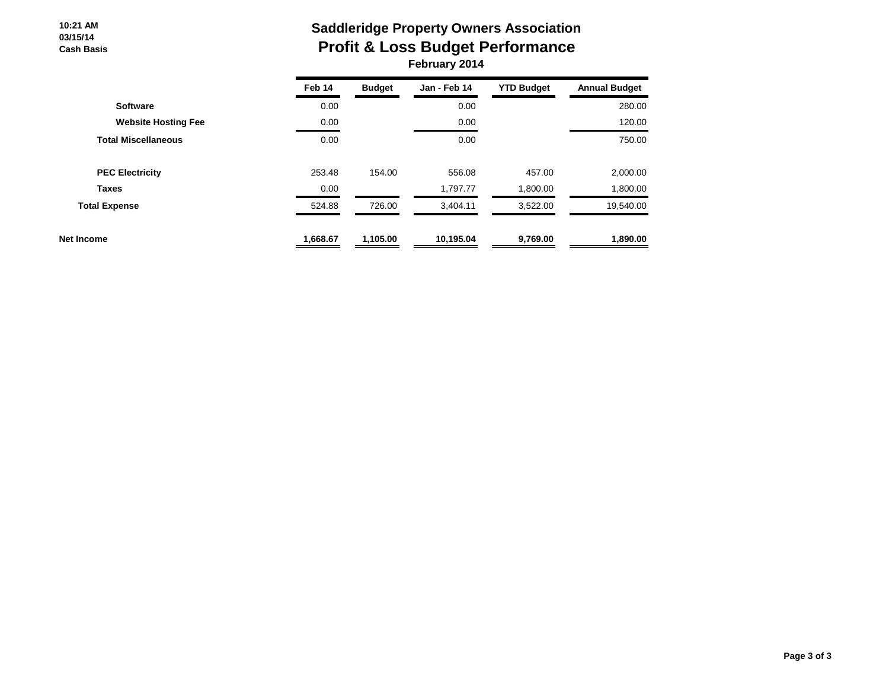**10:21 AM 03/15/14 Cash Basis**

# **Saddleridge Property Owners Association Profit & Loss Budget Performance February 2014**

|                            | Feb 14   | <b>Budget</b> | Jan - Feb 14 | <b>YTD Budget</b> | <b>Annual Budget</b> |
|----------------------------|----------|---------------|--------------|-------------------|----------------------|
| <b>Software</b>            | 0.00     |               | 0.00         |                   | 280.00               |
| <b>Website Hosting Fee</b> | 0.00     |               | 0.00         |                   | 120.00               |
| <b>Total Miscellaneous</b> | 0.00     |               | 0.00         |                   | 750.00               |
| <b>PEC Electricity</b>     | 253.48   | 154.00        | 556.08       | 457.00            | 2,000.00             |
| <b>Taxes</b>               | 0.00     |               | 1,797.77     | 1,800.00          | 1,800.00             |
| <b>Total Expense</b>       | 524.88   | 726.00        | 3,404.11     | 3,522.00          | 19,540.00            |
| Net Income                 | 1,668.67 | 1,105.00      | 10,195.04    | 9,769.00          | 1,890.00             |
|                            |          |               |              |                   |                      |